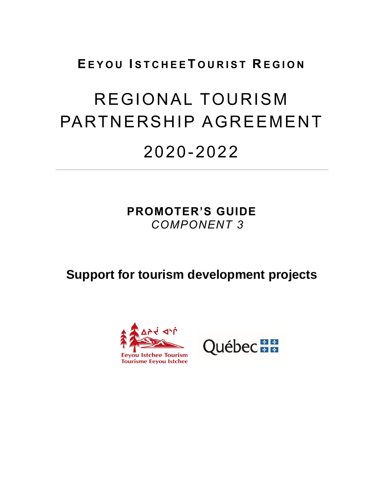## **EE Y O U I S T C H E E T O U R I S T R E G I O N**

# REGIONAL TOURISM PARTNERSHIP AGREEMENT 2020-2022

**PROMOTER'S GUIDE** *COMPONENT 3*

**Support for tourism development projects** 



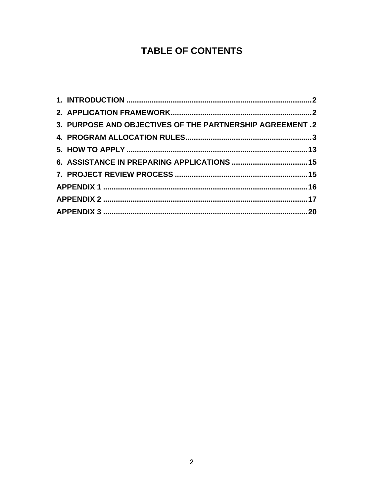## **TABLE OF CONTENTS**

| 3. PURPOSE AND OBJECTIVES OF THE PARTNERSHIP AGREEMENT .2 |  |
|-----------------------------------------------------------|--|
|                                                           |  |
|                                                           |  |
|                                                           |  |
|                                                           |  |
|                                                           |  |
|                                                           |  |
|                                                           |  |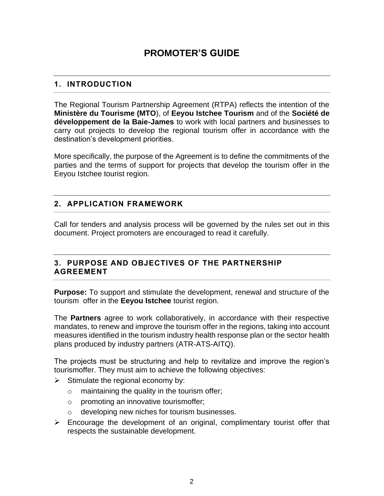### **PROMOTER'S GUIDE**

#### <span id="page-2-0"></span>**1. INTRODUCTION**

The Regional Tourism Partnership Agreement (RTPA) reflects the intention of the **Ministère du Tourisme (MTO**), of **Eeyou Istchee Tourism** and of the **Société de développement de la Baie-James** to work with local partners and businesses to carry out projects to develop the regional tourism offer in accordance with the destination's development priorities.

More specifically, the purpose of the Agreement is to define the commitments of the parties and the terms of support for projects that develop the tourism offer in the Eeyou Istchee tourist region.

#### <span id="page-2-1"></span>**2. APPLICATION FRAMEWORK**

Call for tenders and analysis process will be governed by the rules set out in this document. Project promoters are encouraged to read it carefully.

#### <span id="page-2-2"></span>**3. PURPOSE AND OBJECTIVES OF THE PARTNERSHIP AGREEMENT**

**Purpose:** To support and stimulate the development, renewal and structure of the tourism offer in the **Eeyou Istchee** tourist region.

The **Partners** agree to work collaboratively, in accordance with their respective mandates, to renew and improve the tourism offer in the regions, taking into account measures identified in the tourism industry health response plan or the sector health plans produced by industry partners (ATR-ATS-AITQ).

The projects must be structuring and help to revitalize and improve the region's tourismoffer. They must aim to achieve the following objectives:

- $\triangleright$  Stimulate the regional economy by:
	- $\circ$  maintaining the quality in the tourism offer;
	- o promoting an innovative tourismoffer;
	- o developing new niches for tourism businesses.
- $\triangleright$  Encourage the development of an original, complimentary tourist offer that respects the sustainable development.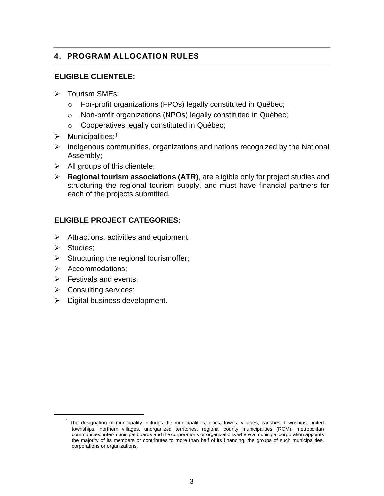#### <span id="page-3-0"></span>**4. PROGRAM ALLOCATION RULES**

#### **ELIGIBLE CLIENTELE:**

- ➢ Tourism SMEs:
	- o For-profit organizations (FPOs) legally constituted in Québec;
	- o Non-profit organizations (NPOs) legally constituted in Québec;
	- o Cooperatives legally constituted in Québec;
- $\triangleright$  Municipalities;<sup>1</sup>
- ➢ Indigenous communities, organizations and nations recognized by the National Assembly;
- $\triangleright$  All groups of this clientele;
- ➢ **Regional tourism associations (ATR)**, are eligible only for project studies and structuring the regional tourism supply, and must have financial partners for each of the projects submitted.

#### **ELIGIBLE PROJECT CATEGORIES:**

- ➢ Attractions, activities and equipment;
- ➢ Studies;
- $\triangleright$  Structuring the regional tourismoffer;
- ➢ Accommodations;
- ➢ Festivals and events;
- ➢ Consulting services;
- $\triangleright$  Digital business development.

<sup>&</sup>lt;sup>1</sup> The designation of municipality includes the municipalities, cities, towns, villages, parishes, townships, united townships, northern villages, unorganized territories, regional county municipalities (RCM), metropolitan communities, inter-municipal boards and the corporations or organizations where a municipal corporation appoints the majority of its members or contributes to more than half of its financing, the groups of such municipalities, corporations or organizations.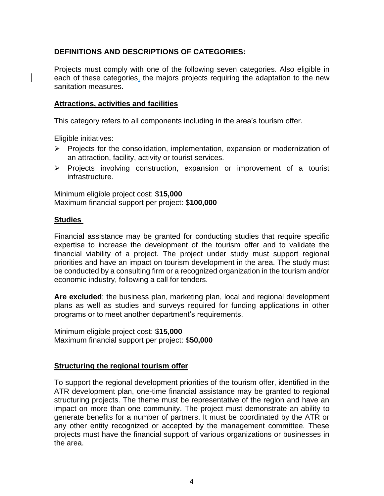#### **DEFINITIONS AND DESCRIPTIONS OF CATEGORIES:**

Projects must comply with one of the following seven categories. Also eligible in each of these categories, the majors projects requiring the adaptation to the new sanitation measures.

#### **Attractions, activities and facilities**

This category refers to all components including in the area's tourism offer.

Eligible initiatives:

- ➢ Projects for the consolidation, implementation, expansion or modernization of an attraction, facility, activity or tourist services.
- ➢ Projects involving construction, expansion or improvement of a tourist infrastructure.

Minimum eligible project cost: \$**15,000** Maximum financial support per project: \$**100,000**

#### **Studies**

Financial assistance may be granted for conducting studies that require specific expertise to increase the development of the tourism offer and to validate the financial viability of a project. The project under study must support regional priorities and have an impact on tourism development in the area. The study must be conducted by a consulting firm or a recognized organization in the tourism and/or economic industry, following a call for tenders.

**Are excluded**; the business plan, marketing plan, local and regional development plans as well as studies and surveys required for funding applications in other programs or to meet another department's requirements.

Minimum eligible project cost: \$**15,000** Maximum financial support per project: \$**50,000**

#### **Structuring the regional tourism offer**

To support the regional development priorities of the tourism offer, identified in the ATR development plan, one-time financial assistance may be granted to regional structuring projects. The theme must be representative of the region and have an impact on more than one community. The project must demonstrate an ability to generate benefits for a number of partners. It must be coordinated by the ATR or any other entity recognized or accepted by the management committee. These projects must have the financial support of various organizations or businesses in the area.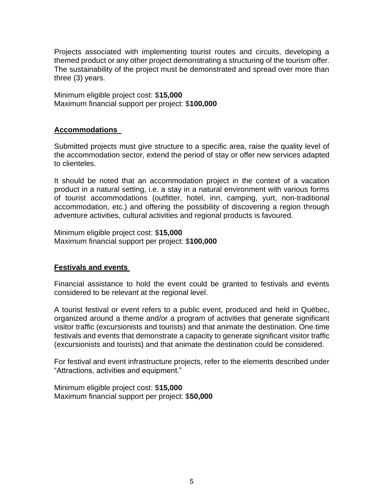Projects associated with implementing tourist routes and circuits, developing a themed product or any other project demonstrating a structuring of the tourism offer. The sustainability of the project must be demonstrated and spread over more than three (3) years.

Minimum eligible project cost: \$**15,000** Maximum financial support per project: \$**100,000**

#### **Accommodations**

Submitted projects must give structure to a specific area, raise the quality level of the accommodation sector, extend the period of stay or offer new services adapted to clienteles.

It should be noted that an accommodation project in the context of a vacation product in a natural setting, i.e. a stay in a natural environment with various forms of tourist accommodations (outfitter, hotel, inn, camping, yurt, non-traditional accommodation, etc.) and offering the possibility of discovering a region through adventure activities, cultural activities and regional products is favoured.

Minimum eligible project cost: \$**15,000** Maximum financial support per project: \$**100,000**

#### **Festivals and events**

Financial assistance to hold the event could be granted to festivals and events considered to be relevant at the regional level.

A tourist festival or event refers to a public event, produced and held in Québec, organized around a theme and/or a program of activities that generate significant visitor traffic (excursionists and tourists) and that animate the destination. One-time festivals and events that demonstrate a capacity to generate significant visitor traffic (excursionists and tourists) and that animate the destination could be considered.

For festival and event infrastructure projects, refer to the elements described under "Attractions, activities and equipment."

Minimum eligible project cost: \$**15,000** Maximum financial support per project: \$**50,000**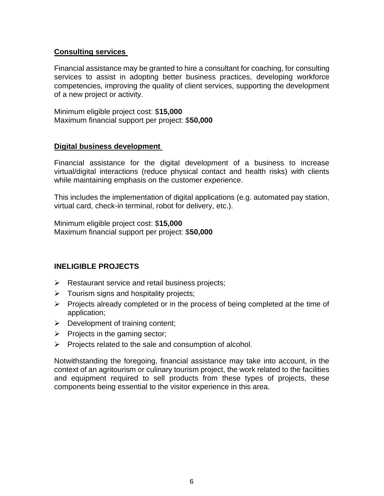#### **Consulting services**

Financial assistance may be granted to hire a consultant for coaching, for consulting services to assist in adopting better business practices, developing workforce competencies, improving the quality of client services, supporting the development of a new project or activity.

Minimum eligible project cost: \$**15,000** Maximum financial support per project: \$**50,000**

#### **Digital business development**

Financial assistance for the digital development of a business to increase virtual/digital interactions (reduce physical contact and health risks) with clients while maintaining emphasis on the customer experience.

This includes the implementation of digital applications (e.g. automated pay station, virtual card, check-in terminal, robot for delivery, etc.).

Minimum eligible project cost: \$**15,000** Maximum financial support per project: \$**50,000**

#### **INELIGIBLE PROJECTS**

- $\triangleright$  Restaurant service and retail business projects;
- $\triangleright$  Tourism signs and hospitality projects;
- ➢ Projects already completed or in the process of being completed at the time of application;
- $\triangleright$  Development of training content;
- $\triangleright$  Projects in the gaming sector;
- ➢ Projects related to the sale and consumption of alcohol.

Notwithstanding the foregoing, financial assistance may take into account, in the context of an agritourism or culinary tourism project, the work related to the facilities and equipment required to sell products from these types of projects, these components being essential to the visitor experience in this area.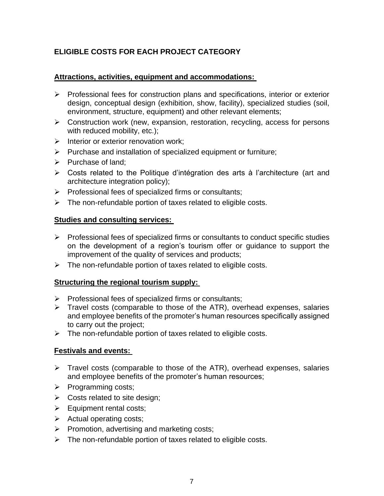#### **ELIGIBLE COSTS FOR EACH PROJECT CATEGORY**

#### **Attractions, activities, equipment and accommodations:**

- ➢ Professional fees for construction plans and specifications, interior or exterior design, conceptual design (exhibition, show, facility), specialized studies (soil, environment, structure, equipment) and other relevant elements;
- ➢ Construction work (new, expansion, restoration, recycling, access for persons with reduced mobility, etc.);
- $\triangleright$  Interior or exterior renovation work;
- ➢ Purchase and installation of specialized equipment or furniture;
- ➢ Purchase of land;
- ➢ Costs related to the Politique d'intégration des arts à l'architecture (art and architecture integration policy);
- ➢ Professional fees of specialized firms or consultants;
- $\triangleright$  The non-refundable portion of taxes related to eligible costs.

#### **Studies and consulting services:**

- ➢ Professional fees of specialized firms or consultants to conduct specific studies on the development of a region's tourism offer or guidance to support the improvement of the quality of services and products;
- $\triangleright$  The non-refundable portion of taxes related to eligible costs.

#### **Structuring the regional tourism supply:**

- ➢ Professional fees of specialized firms or consultants;
- ➢ Travel costs (comparable to those of the ATR), overhead expenses, salaries and employee benefits of the promoter's human resources specifically assigned to carry out the project;
- ➢ The non-refundable portion of taxes related to eligible costs.

#### **Festivals and events:**

- ➢ Travel costs (comparable to those of the ATR), overhead expenses, salaries and employee benefits of the promoter's human resources;
- ➢ Programming costs;
- $\triangleright$  Costs related to site design;
- ➢ Equipment rental costs;
- $\triangleright$  Actual operating costs;
- $\triangleright$  Promotion, advertising and marketing costs;
- $\triangleright$  The non-refundable portion of taxes related to eligible costs.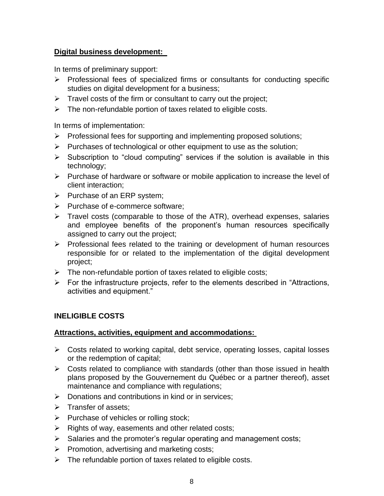#### **Digital business development:**

In terms of preliminary support:

- ➢ Professional fees of specialized firms or consultants for conducting specific studies on digital development for a business;
- $\triangleright$  Travel costs of the firm or consultant to carry out the project;
- $\triangleright$  The non-refundable portion of taxes related to eligible costs.

In terms of implementation:

- ➢ Professional fees for supporting and implementing proposed solutions;
- ➢ Purchases of technological or other equipment to use as the solution;
- $\triangleright$  Subscription to "cloud computing" services if the solution is available in this technology;
- ➢ Purchase of hardware or software or mobile application to increase the level of client interaction;
- ➢ Purchase of an ERP system;
- ➢ Purchase of e-commerce software;
- ➢ Travel costs (comparable to those of the ATR), overhead expenses, salaries and employee benefits of the proponent's human resources specifically assigned to carry out the project;
- ➢ Professional fees related to the training or development of human resources responsible for or related to the implementation of the digital development project;
- ➢ The non-refundable portion of taxes related to eligible costs;
- ➢ For the infrastructure projects, refer to the elements described in "Attractions, activities and equipment."

#### **INELIGIBLE COSTS**

#### **Attractions, activities, equipment and accommodations:**

- ➢ Costs related to working capital, debt service, operating losses, capital losses or the redemption of capital;
- $\triangleright$  Costs related to compliance with standards (other than those issued in health plans proposed by the Gouvernement du Québec or a partner thereof), asset maintenance and compliance with regulations;
- $\triangleright$  Donations and contributions in kind or in services:
- ➢ Transfer of assets;
- ➢ Purchase of vehicles or rolling stock;
- ➢ Rights of way, easements and other related costs;
- ➢ Salaries and the promoter's regular operating and management costs;
- $\triangleright$  Promotion, advertising and marketing costs;
- $\triangleright$  The refundable portion of taxes related to eligible costs.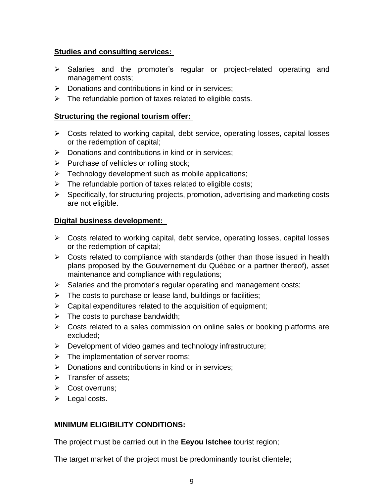#### **Studies and consulting services:**

- ➢ Salaries and the promoter's regular or project-related operating and management costs;
- ➢ Donations and contributions in kind or in services;
- $\triangleright$  The refundable portion of taxes related to eligible costs.

#### **Structuring the regional tourism offer:**

- ➢ Costs related to working capital, debt service, operating losses, capital losses or the redemption of capital;
- ➢ Donations and contributions in kind or in services;
- $\triangleright$  Purchase of vehicles or rolling stock;
- $\triangleright$  Technology development such as mobile applications;
- $\triangleright$  The refundable portion of taxes related to eligible costs;
- $\triangleright$  Specifically, for structuring projects, promotion, advertising and marketing costs are not eligible.

#### **Digital business development:**

- ➢ Costs related to working capital, debt service, operating losses, capital losses or the redemption of capital;
- $\triangleright$  Costs related to compliance with standards (other than those issued in health plans proposed by the Gouvernement du Québec or a partner thereof), asset maintenance and compliance with regulations;
- $\triangleright$  Salaries and the promoter's regular operating and management costs;
- ➢ The costs to purchase or lease land, buildings or facilities;
- $\triangleright$  Capital expenditures related to the acquisition of equipment;
- $\triangleright$  The costs to purchase bandwidth;
- ➢ Costs related to a sales commission on online sales or booking platforms are excluded;
- ➢ Development of video games and technology infrastructure;
- $\triangleright$  The implementation of server rooms;
- $\triangleright$  Donations and contributions in kind or in services;
- ➢ Transfer of assets;
- ➢ Cost overruns;
- $\triangleright$  Legal costs.

#### **MINIMUM ELIGIBILITY CONDITIONS:**

The project must be carried out in the **Eeyou Istchee** tourist region;

The target market of the project must be predominantly tourist clientele;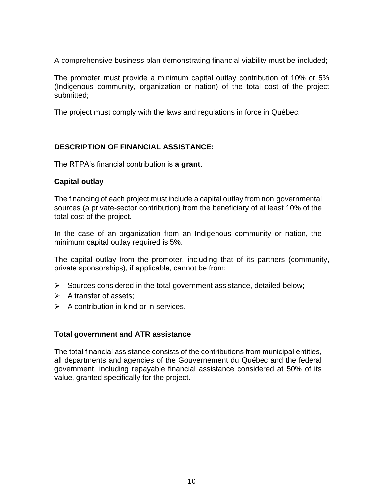A comprehensive business plan demonstrating financial viability must be included;

The promoter must provide a minimum capital outlay contribution of 10% or 5% (Indigenous community, organization or nation) of the total cost of the project submitted;

The project must comply with the laws and regulations in force in Québec.

#### **DESCRIPTION OF FINANCIAL ASSISTANCE:**

The RTPA's financial contribution is **a grant**.

#### **Capital outlay**

The financing of each project must include a capital outlay from non-governmental sources (a private-sector contribution) from the beneficiary of at least 10% of the total cost of the project.

In the case of an organization from an Indigenous community or nation, the minimum capital outlay required is 5%.

The capital outlay from the promoter, including that of its partners (community, private sponsorships), if applicable, cannot be from:

- ➢ Sources considered in the total government assistance, detailed below;
- $\triangleright$  A transfer of assets:
- $\triangleright$  A contribution in kind or in services.

#### **Total government and ATR assistance**

The total financial assistance consists of the contributions from municipal entities, all departments and agencies of the Gouvernement du Québec and the federal government, including repayable financial assistance considered at 50% of its value, granted specifically for the project.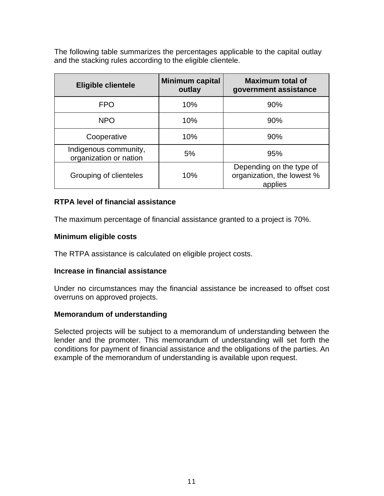The following table summarizes the percentages applicable to the capital outlay and the stacking rules according to the eligible clientele.

| <b>Eligible clientele</b>                       | <b>Minimum capital</b><br>outlay | <b>Maximum total of</b><br>government assistance                  |
|-------------------------------------------------|----------------------------------|-------------------------------------------------------------------|
| <b>FPO</b>                                      | 10%                              | 90%                                                               |
| <b>NPO</b>                                      | 10%                              | 90%                                                               |
| Cooperative                                     | 10%                              | 90%                                                               |
| Indigenous community,<br>organization or nation | 5%                               | 95%                                                               |
| Grouping of clienteles                          | 10%                              | Depending on the type of<br>organization, the lowest %<br>applies |

#### **RTPA level of financial assistance**

The maximum percentage of financial assistance granted to a project is 70%.

#### **Minimum eligible costs**

The RTPA assistance is calculated on eligible project costs.

#### **Increase in financial assistance**

Under no circumstances may the financial assistance be increased to offset cost overruns on approved projects.

#### **Memorandum of understanding**

Selected projects will be subject to a memorandum of understanding between the lender and the promoter. This memorandum of understanding will set forth the conditions for payment of financial assistance and the obligations of the parties. An example of the memorandum of understanding is available upon request.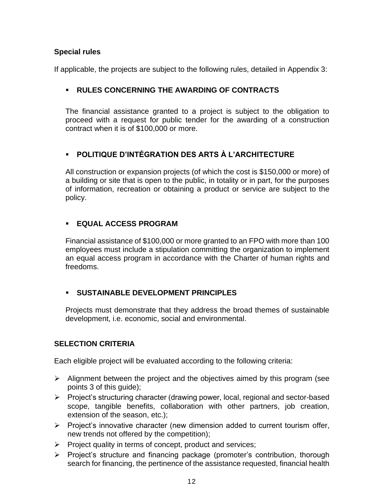#### **Special rules**

If applicable, the projects are subject to the following rules, detailed in Appendix 3:

#### ▪ **RULES CONCERNING THE AWARDING OF CONTRACTS**

The financial assistance granted to a project is subject to the obligation to proceed with a request for public tender for the awarding of a construction contract when it is of \$100,000 or more.

#### ▪ **POLITIQUE D'INTÉGRATION DES ARTS À L'ARCHITECTURE**

All construction or expansion projects (of which the cost is \$150,000 or more) of a building or site that is open to the public, in totality or in part, for the purposes of information, recreation or obtaining a product or service are subject to the policy.

#### ▪ **EQUAL ACCESS PROGRAM**

Financial assistance of \$100,000 or more granted to an FPO with more than 100 employees must include a stipulation committing the organization to implement an equal access program in accordance with the Charter of human rights and freedoms.

#### ▪ **SUSTAINABLE DEVELOPMENT PRINCIPLES**

Projects must demonstrate that they address the broad themes of sustainable development, i.e. economic, social and environmental.

#### **SELECTION CRITERIA**

Each eligible project will be evaluated according to the following criteria:

- $\triangleright$  Alignment between the project and the objectives aimed by this program (see points 3 of this guide);
- ➢ Project's structuring character (drawing power, local, regional and sector-based scope, tangible benefits, collaboration with other partners, job creation, extension of the season, etc.);
- ➢ Project's innovative character (new dimension added to current tourism offer, new trends not offered by the competition);
- ➢ Project quality in terms of concept, product and services;
- ➢ Project's structure and financing package (promoter's contribution, thorough search for financing, the pertinence of the assistance requested, financial health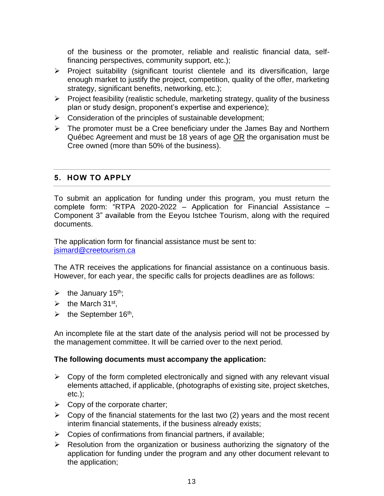of the business or the promoter, reliable and realistic financial data, selffinancing perspectives, community support, etc.);

- ➢ Project suitability (significant tourist clientele and its diversification, large enough market to justify the project, competition, quality of the offer, marketing strategy, significant benefits, networking, etc.);
- $\triangleright$  Project feasibility (realistic schedule, marketing strategy, quality of the business plan or study design, proponent's expertise and experience);
- $\triangleright$  Consideration of the principles of sustainable development;
- $\triangleright$  The promoter must be a Cree beneficiary under the James Bay and Northern Québec Agreement and must be 18 years of age OR the organisation must be Cree owned (more than 50% of the business).

#### <span id="page-13-0"></span>**5. HOW TO APPLY**

To submit an application for funding under this program, you must return the complete form: "RTPA 2020-2022 – Application for Financial Assistance – Component 3" available from the Eeyou Istchee Tourism, along with the required documents.

The application form for financial assistance must be sent to: [jsimard@creetourism.ca](mailto:jsimard@creetourism.ca)

The ATR receives the applications for financial assistance on a continuous basis. However, for each year, the specific calls for projects deadlines are as follows:

- $\triangleright$  the January 15<sup>th</sup>;
- $\blacktriangleright$  the March 31<sup>st</sup>,
- $\triangleright$  the September 16<sup>th</sup>,

An incomplete file at the start date of the analysis period will not be processed by the management committee. It will be carried over to the next period.

#### **The following documents must accompany the application:**

- $\triangleright$  Copy of the form completed electronically and signed with any relevant visual elements attached, if applicable, (photographs of existing site, project sketches, etc.);
- $\triangleright$  Copy of the corporate charter;
- $\triangleright$  Copy of the financial statements for the last two (2) years and the most recent interim financial statements, if the business already exists;
- $\triangleright$  Copies of confirmations from financial partners, if available;
- $\triangleright$  Resolution from the organization or business authorizing the signatory of the application for funding under the program and any other document relevant to the application;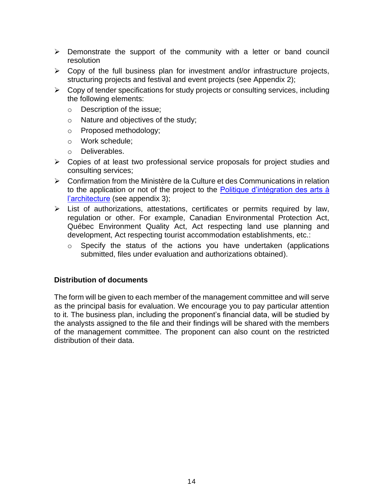- ➢ Demonstrate the support of the community with a letter or band council resolution
- $\triangleright$  Copy of the full business plan for investment and/or infrastructure projects, structuring projects and festival and event projects (see Appendix 2);
- ➢ Copy of tender specifications for study projects or consulting services, including the following elements:
	- o Description of the issue;
	- o Nature and objectives of the study;
	- o Proposed methodology;
	- o Work schedule;
	- o Deliverables.
- ➢ Copies of at least two professional service proposals for project studies and consulting services;
- ➢ Confirmation from the Ministère de la Culture et des Communications in relation to the application or not of the project to the **Politique d'intégration des arts à** [l'architecture](http://www.tourisme.gouv.qc.ca/publications/media/document/aidefinanciere/PASC/MCC-int-arts.pdf) (see appendix 3);
- ➢ List of authorizations, attestations, certificates or permits required by law, regulation or other. For example, Canadian Environmental Protection Act, Québec Environment Quality Act, Act respecting land use planning and development, Act respecting tourist accommodation establishments, etc.:
	- $\circ$  Specify the status of the actions you have undertaken (applications submitted, files under evaluation and authorizations obtained).

#### **Distribution of documents**

The form will be given to each member of the management committee and will serve as the principal basis for evaluation. We encourage you to pay particular attention to it. The business plan, including the proponent's financial data, will be studied by the analysts assigned to the file and their findings will be shared with the members of the management committee. The proponent can also count on the restricted distribution of their data.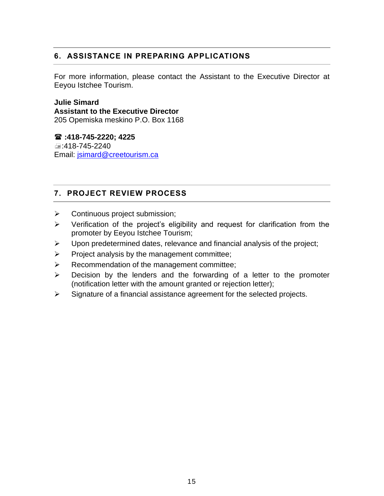#### <span id="page-15-0"></span>**6. ASSISTANCE IN PREPARING APPLICATIONS**

For more information, please contact the Assistant to the Executive Director at Eeyou Istchee Tourism.

**Julie Simard Assistant to the Executive Director** 205 Opemiska meskino P.O. Box 1168

 **:418-745-2220; 4225** :418-745-2240 [Em](mailto:michel.campeano@quebecregion.com)ail: [jsimard@creetourism.ca](mailto:jsimard@creetourism.ca)

#### <span id="page-15-1"></span>**7. PROJECT REVIEW PROCESS**

- ➢ Continuous project submission;
- ➢ Verification of the project's eligibility and request for clarification from the promoter by Eeyou Istchee Tourism;
- ➢ Upon predetermined dates, relevance and financial analysis of the project;
- ➢ Project analysis by the management committee;
- ➢ Recommendation of the management committee;
- ➢ Decision by the lenders and the forwarding of a letter to the promoter (notification letter with the amount granted or rejection letter);
- ➢ Signature of a financial assistance agreement for the selected projects.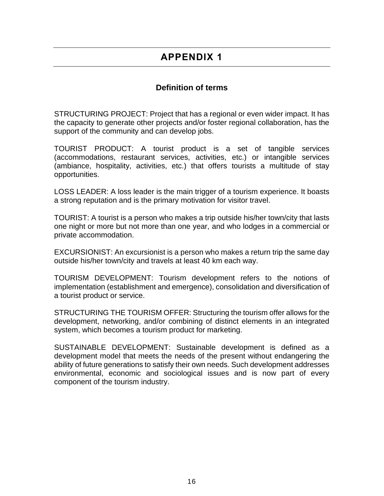## **APPENDIX 1**

#### **Definition of terms**

<span id="page-16-0"></span>STRUCTURING PROJECT: Project that has a regional or even wider impact. It has the capacity to generate other projects and/or foster regional collaboration, has the support of the community and can develop jobs.

TOURIST PRODUCT: A tourist product is a set of tangible services (accommodations, restaurant services, activities, etc.) or intangible services (ambiance, hospitality, activities, etc.) that offers tourists a multitude of stay opportunities.

LOSS LEADER: A loss leader is the main trigger of a tourism experience. It boasts a strong reputation and is the primary motivation for visitor travel.

TOURIST: A tourist is a person who makes a trip outside his/her town/city that lasts one night or more but not more than one year, and who lodges in a commercial or private accommodation.

EXCURSIONIST: An excursionist is a person who makes a return trip the same day outside his/her town/city and travels at least 40 km each way.

TOURISM DEVELOPMENT: Tourism development refers to the notions of implementation (establishment and emergence), consolidation and diversification of a tourist product or service.

STRUCTURING THE TOURISM OFFER: Structuring the tourism offer allows for the development, networking, and/or combining of distinct elements in an integrated system, which becomes a tourism product for marketing.

SUSTAINABLE DEVELOPMENT: Sustainable development is defined as a development model that meets the needs of the present without endangering the ability of future generations to satisfy their own needs. Such development addresses environmental, economic and sociological issues and is now part of every component of the tourism industry.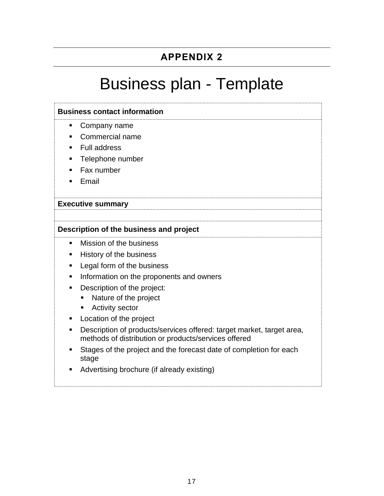## **APPENDIX 2**

## <span id="page-17-0"></span>Business plan - Template

|   | <b>Business contact information</b>                                                                                           |
|---|-------------------------------------------------------------------------------------------------------------------------------|
| ٠ | Company name                                                                                                                  |
|   | Commercial name                                                                                                               |
|   | <b>Full address</b>                                                                                                           |
| п | Telephone number                                                                                                              |
|   | Fax number                                                                                                                    |
| п | Email                                                                                                                         |
|   |                                                                                                                               |
|   | <b>Executive summary</b>                                                                                                      |
|   |                                                                                                                               |
|   | Description of the business and project                                                                                       |
| ٠ | Mission of the business                                                                                                       |
| п | History of the business                                                                                                       |
| ٠ | Legal form of the business                                                                                                    |
| п | Information on the proponents and owners                                                                                      |
|   | Description of the project:                                                                                                   |
| п | Nature of the project                                                                                                         |
|   | <b>Activity sector</b>                                                                                                        |
| п | Location of the project                                                                                                       |
| ▪ | Description of products/services offered: target market, target area,<br>methods of distribution or products/services offered |
|   | Stages of the project and the forecast date of completion for each<br>stage                                                   |

**•** Advertising brochure (if already existing)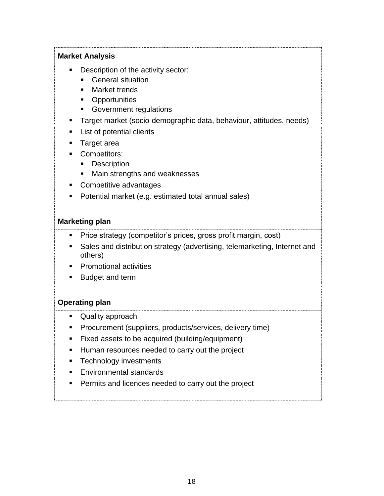#### **Market Analysis**

- Description of the activity sector:
	- General situation
	- Market trends
	- Opportunities
	- **EXEC** Government regulations
- **Target market (socio-demographic data, behaviour, attitudes, needs)**
- List of potential clients
- Target area
- Competitors:
	- Description
	- Main strengths and weaknesses
- Competitive advantages
- Potential market (e.g. estimated total annual sales)

#### **Marketing plan**

- **•** Price strategy (competitor's prices, gross profit margin, cost)
- Sales and distribution strategy (advertising, telemarketing, Internet and others)
- Promotional activities
- Budget and term

#### **Operating plan**

- Quality approach
- **•** Procurement (suppliers, products/services, delivery time)
- Fixed assets to be acquired (building/equipment)
- **EXECT** Human resources needed to carry out the project
- Technology investments
- Environmental standards
- Permits and licences needed to carry out the project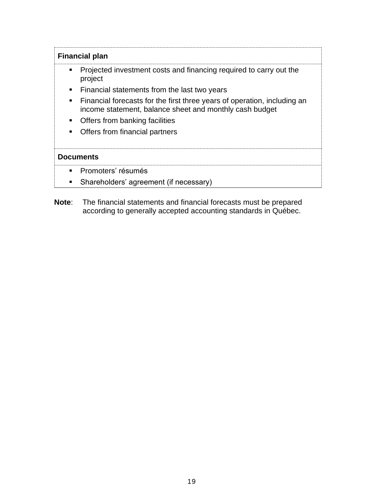| <b>Financial plan</b>                                                                                                               |
|-------------------------------------------------------------------------------------------------------------------------------------|
| Projected investment costs and financing required to carry out the<br>project                                                       |
| Financial statements from the last two years<br>$\blacksquare$                                                                      |
| Financial forecasts for the first three years of operation, including an<br>income statement, balance sheet and monthly cash budget |
| Offers from banking facilities<br>$\blacksquare$                                                                                    |
| Offers from financial partners<br>$\blacksquare$                                                                                    |
| <b>Documents</b>                                                                                                                    |
| Promoters' résumés<br>п.                                                                                                            |
| Shareholders' agreement (if necessary)                                                                                              |

**Note**: The financial statements and financial forecasts must be prepared according to generally accepted accounting standards in Québec.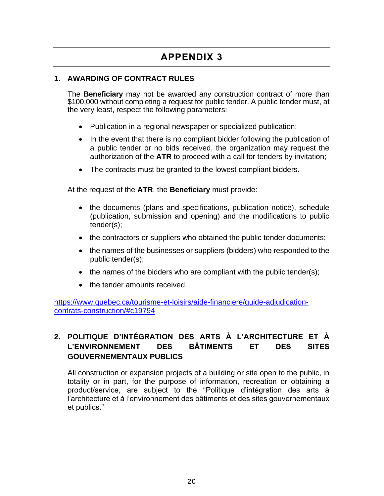#### <span id="page-20-0"></span>**1. AWARDING OF CONTRACT RULES**

The **Beneficiary** may not be awarded any construction contract of more than \$100,000 without completing a request for public tender. A public tender must, at the very least, respect the following parameters:

- Publication in a regional newspaper or specialized publication;
- In the event that there is no compliant bidder following the publication of a public tender or no bids received, the organization may request the authorization of the **ATR** to proceed with a call for tenders by invitation;
- The contracts must be granted to the lowest compliant bidders.

At the request of the **ATR**, the **Beneficiary** must provide:

- the documents (plans and specifications, publication notice), schedule (publication, submission and opening) and the modifications to public tender(s);
- the contractors or suppliers who obtained the public tender documents;
- the names of the businesses or suppliers (bidders) who responded to the public tender(s);
- $\bullet$  the names of the bidders who are compliant with the public tender(s);
- the tender amounts received.

[https://www.quebec.ca/tourisme-et-loisirs/aide-financiere/guide-adjudication](https://www.quebec.ca/tourisme-et-loisirs/aide-financiere/guide-adjudication-contrats-construction/#c19794)[contrats-construction/#c19794](https://www.quebec.ca/tourisme-et-loisirs/aide-financiere/guide-adjudication-contrats-construction/#c19794)

#### **2. POLITIQUE D'INTÉGRATION DES ARTS À L'ARCHITECTURE ET À L'ENVIRONNEMENT DES BÂTIMENTS ET DES SITES GOUVERNEMENTAUX PUBLICS**

All construction or expansion projects of a building or site open to the public, in totality or in part, for the purpose of information, recreation or obtaining a product/service, are subject to the "Politique d'intégration des arts à l'architecture et à l'environnement des bâtiments et des sites gouvernementaux et publics."